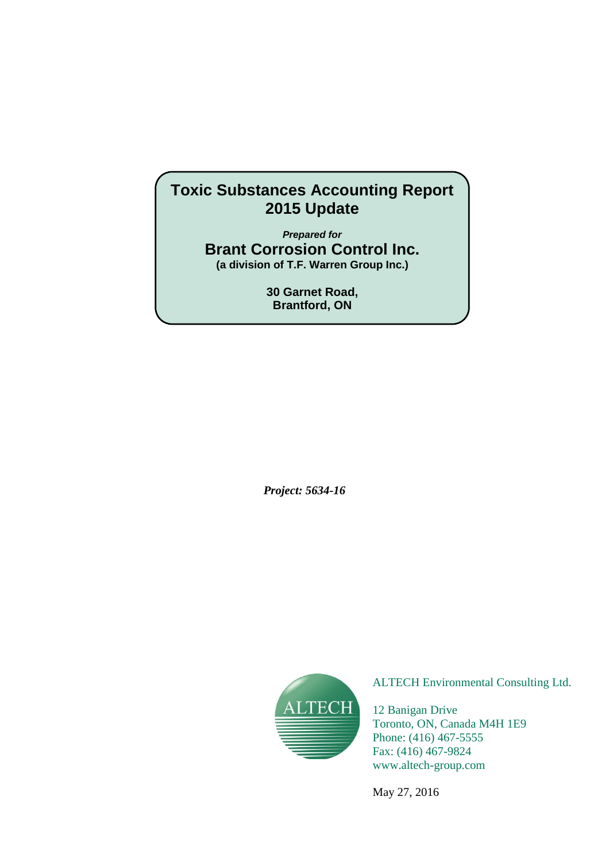# **Toxic Substances Accounting Report 2015 Update**

*Prepared for* **Brant Corrosion Control Inc. (a division of T.F. Warren Group Inc.)**

> **30 Garnet Road, Brantford, ON**

*Project: 5634-16*



ALTECH Environmental Consulting Ltd.

12 Banigan Drive Toronto, ON, Canada M4H 1E9 Phone: (416) 467-5555 Fax: (416) 467-9824 www.altech-group.com

May 27, 2016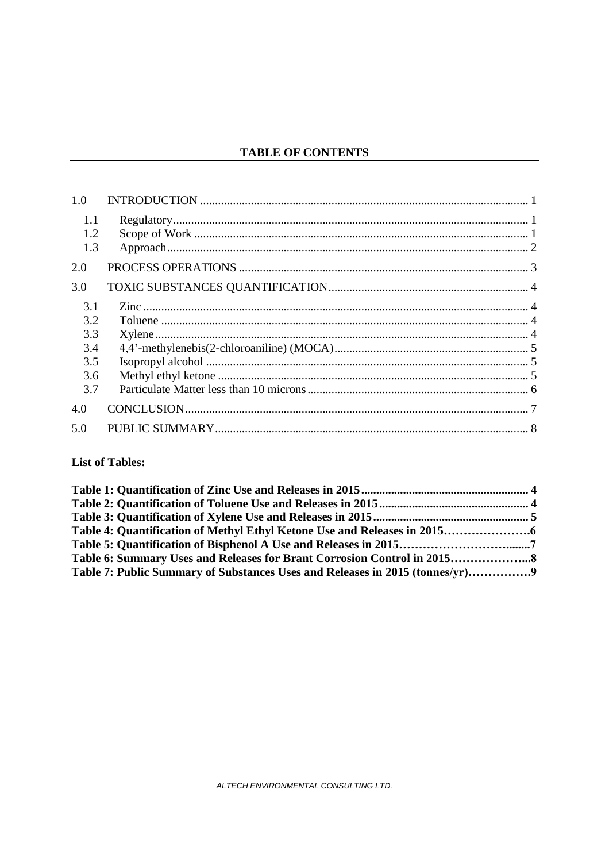# **TABLE OF CONTENTS**

| 1.0                                           |  |
|-----------------------------------------------|--|
| 1.1<br>1.2<br>1.3                             |  |
| 2.0                                           |  |
| 3.0                                           |  |
| 3.1<br>3.2<br>3.3<br>3.4<br>3.5<br>3.6<br>3.7 |  |
| 4.0                                           |  |
| 5.0                                           |  |

# **List of Tables:**

| Table 7: Public Summary of Substances Uses and Releases in 2015 (tonnes/yr) |  |
|-----------------------------------------------------------------------------|--|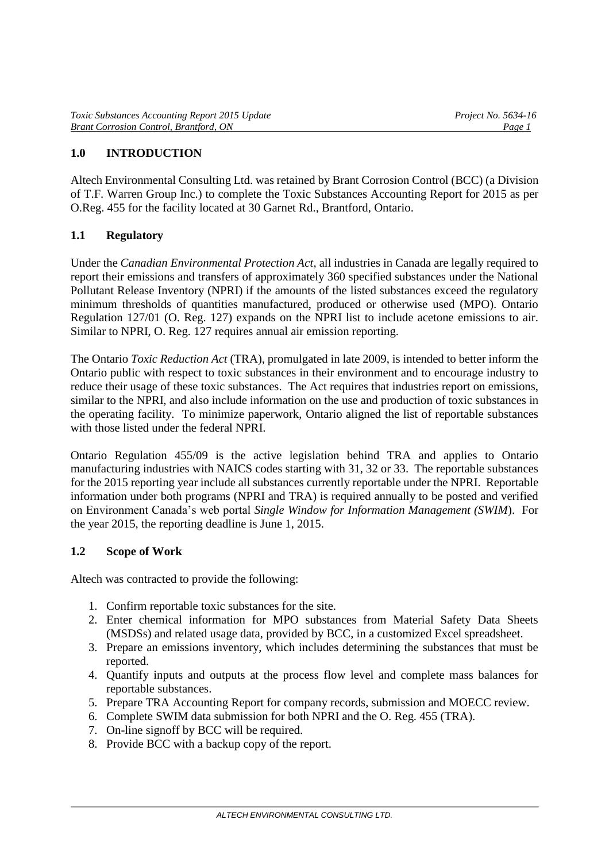# **1.0 INTRODUCTION**

Altech Environmental Consulting Ltd. was retained by Brant Corrosion Control (BCC) (a Division of T.F. Warren Group Inc.) to complete the Toxic Substances Accounting Report for 2015 as per O.Reg. 455 for the facility located at 30 Garnet Rd., Brantford, Ontario.

## **1.1 Regulatory**

Under the *Canadian Environmental Protection Act*, all industries in Canada are legally required to report their emissions and transfers of approximately 360 specified substances under the National Pollutant Release Inventory (NPRI) if the amounts of the listed substances exceed the regulatory minimum thresholds of quantities manufactured, produced or otherwise used (MPO). Ontario Regulation 127/01 (O. Reg. 127) expands on the NPRI list to include acetone emissions to air. Similar to NPRI, O. Reg. 127 requires annual air emission reporting.

The Ontario *Toxic Reduction Act* (TRA), promulgated in late 2009, is intended to better inform the Ontario public with respect to toxic substances in their environment and to encourage industry to reduce their usage of these toxic substances. The Act requires that industries report on emissions, similar to the NPRI, and also include information on the use and production of toxic substances in the operating facility. To minimize paperwork, Ontario aligned the list of reportable substances with those listed under the federal NPRI.

Ontario Regulation 455/09 is the active legislation behind TRA and applies to Ontario manufacturing industries with NAICS codes starting with 31, 32 or 33. The reportable substances for the 2015 reporting year include all substances currently reportable under the NPRI. Reportable information under both programs (NPRI and TRA) is required annually to be posted and verified on Environment Canada's web portal *Single Window for Information Management (SWIM*). For the year 2015, the reporting deadline is June 1, 2015.

#### **1.2 Scope of Work**

Altech was contracted to provide the following:

- 1. Confirm reportable toxic substances for the site.
- 2. Enter chemical information for MPO substances from Material Safety Data Sheets (MSDSs) and related usage data, provided by BCC, in a customized Excel spreadsheet.
- 3. Prepare an emissions inventory, which includes determining the substances that must be reported.
- 4. Quantify inputs and outputs at the process flow level and complete mass balances for reportable substances.
- 5. Prepare TRA Accounting Report for company records, submission and MOECC review.
- 6. Complete SWIM data submission for both NPRI and the O. Reg. 455 (TRA).
- 7. On-line signoff by BCC will be required.
- 8. Provide BCC with a backup copy of the report.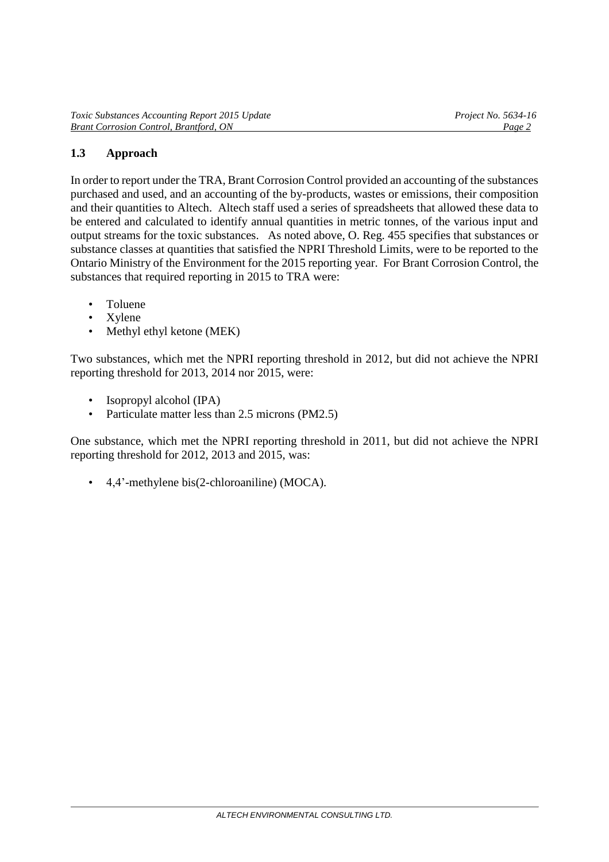### **1.3 Approach**

In order to report under the TRA, Brant Corrosion Control provided an accounting of the substances purchased and used, and an accounting of the by-products, wastes or emissions, their composition and their quantities to Altech. Altech staff used a series of spreadsheets that allowed these data to be entered and calculated to identify annual quantities in metric tonnes, of the various input and output streams for the toxic substances. As noted above, O. Reg. 455 specifies that substances or substance classes at quantities that satisfied the NPRI Threshold Limits, were to be reported to the Ontario Ministry of the Environment for the 2015 reporting year. For Brant Corrosion Control, the substances that required reporting in 2015 to TRA were:

- Toluene
- Xylene
- Methyl ethyl ketone (MEK)

Two substances, which met the NPRI reporting threshold in 2012, but did not achieve the NPRI reporting threshold for 2013, 2014 nor 2015, were:

- Isopropyl alcohol (IPA)
- Particulate matter less than 2.5 microns (PM2.5)

One substance, which met the NPRI reporting threshold in 2011, but did not achieve the NPRI reporting threshold for 2012, 2013 and 2015, was:

• 4,4'-methylene bis(2-chloroaniline) (MOCA).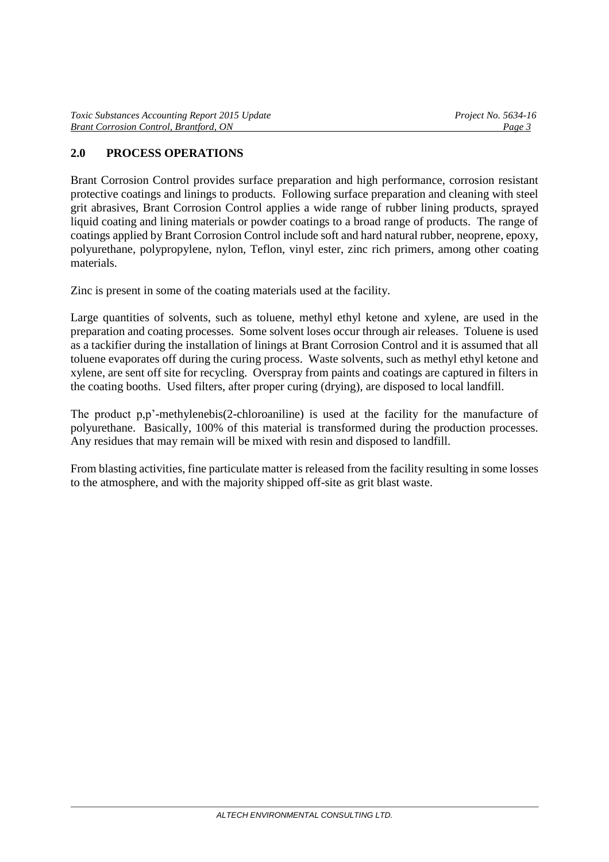# **2.0 PROCESS OPERATIONS**

Brant Corrosion Control provides surface preparation and high performance, corrosion resistant protective coatings and linings to products. Following surface preparation and cleaning with steel grit abrasives, Brant Corrosion Control applies a wide range of rubber lining products, sprayed liquid coating and lining materials or powder coatings to a broad range of products. The range of coatings applied by Brant Corrosion Control include soft and hard natural rubber, neoprene, epoxy, polyurethane, polypropylene, nylon, Teflon, vinyl ester, zinc rich primers, among other coating materials.

Zinc is present in some of the coating materials used at the facility.

Large quantities of solvents, such as toluene, methyl ethyl ketone and xylene, are used in the preparation and coating processes. Some solvent loses occur through air releases. Toluene is used as a tackifier during the installation of linings at Brant Corrosion Control and it is assumed that all toluene evaporates off during the curing process. Waste solvents, such as methyl ethyl ketone and xylene, are sent off site for recycling. Overspray from paints and coatings are captured in filters in the coating booths. Used filters, after proper curing (drying), are disposed to local landfill.

The product p,p'-methylenebis(2-chloroaniline) is used at the facility for the manufacture of polyurethane. Basically, 100% of this material is transformed during the production processes. Any residues that may remain will be mixed with resin and disposed to landfill.

From blasting activities, fine particulate matter is released from the facility resulting in some losses to the atmosphere, and with the majority shipped off-site as grit blast waste.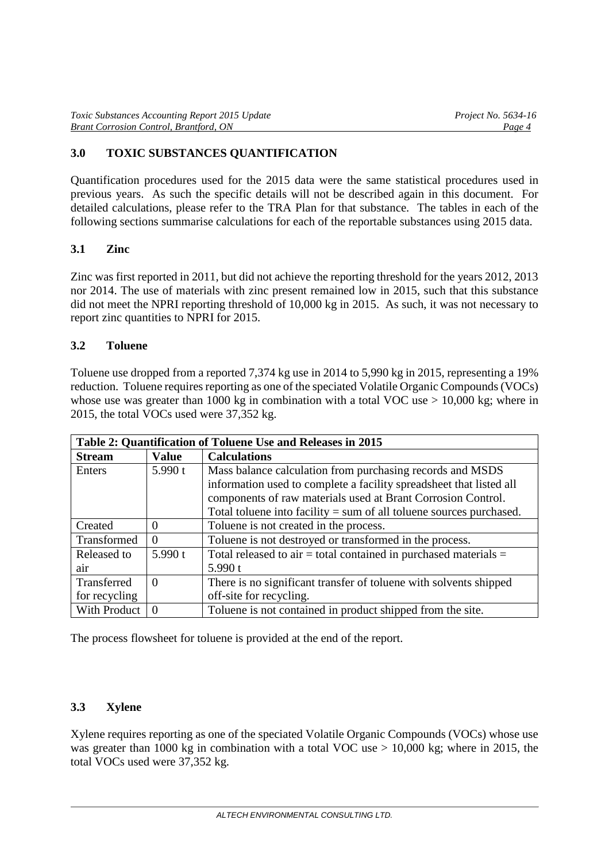# **3.0 TOXIC SUBSTANCES QUANTIFICATION**

Quantification procedures used for the 2015 data were the same statistical procedures used in previous years. As such the specific details will not be described again in this document. For detailed calculations, please refer to the TRA Plan for that substance. The tables in each of the following sections summarise calculations for each of the reportable substances using 2015 data.

#### **3.1 Zinc**

Zinc was first reported in 2011, but did not achieve the reporting threshold for the years 2012, 2013 nor 2014. The use of materials with zinc present remained low in 2015, such that this substance did not meet the NPRI reporting threshold of 10,000 kg in 2015. As such, it was not necessary to report zinc quantities to NPRI for 2015.

#### **3.2 Toluene**

Toluene use dropped from a reported 7,374 kg use in 2014 to 5,990 kg in 2015, representing a 19% reduction. Toluene requires reporting as one of the speciated Volatile Organic Compounds (VOCs) whose use was greater than 1000 kg in combination with a total VOC use  $> 10,000$  kg; where in 2015, the total VOCs used were 37,352 kg.

| Table 2: Quantification of Toluene Use and Releases in 2015 |              |                                                                       |  |  |  |  |  |
|-------------------------------------------------------------|--------------|-----------------------------------------------------------------------|--|--|--|--|--|
| <b>Stream</b>                                               | <b>Value</b> | <b>Calculations</b>                                                   |  |  |  |  |  |
| Enters                                                      | 5.990 $t$    | Mass balance calculation from purchasing records and MSDS             |  |  |  |  |  |
|                                                             |              | information used to complete a facility spreadsheet that listed all   |  |  |  |  |  |
|                                                             |              | components of raw materials used at Brant Corrosion Control.          |  |  |  |  |  |
|                                                             |              | Total toluene into facility $=$ sum of all toluene sources purchased. |  |  |  |  |  |
| Created                                                     | $\Omega$     | Toluene is not created in the process.                                |  |  |  |  |  |
| Transformed                                                 | $\Omega$     | Toluene is not destroyed or transformed in the process.               |  |  |  |  |  |
| Released to                                                 | 5.990 $t$    | Total released to air $=$ total contained in purchased materials $=$  |  |  |  |  |  |
| air                                                         |              | 5.990 t                                                               |  |  |  |  |  |
| Transferred                                                 | $\Omega$     | There is no significant transfer of toluene with solvents shipped     |  |  |  |  |  |
| for recycling                                               |              | off-site for recycling.                                               |  |  |  |  |  |
| With Product                                                | $\Omega$     | Toluene is not contained in product shipped from the site.            |  |  |  |  |  |

The process flowsheet for toluene is provided at the end of the report.

## **3.3 Xylene**

Xylene requires reporting as one of the speciated Volatile Organic Compounds (VOCs) whose use was greater than 1000 kg in combination with a total VOC use  $> 10,000$  kg; where in 2015, the total VOCs used were 37,352 kg.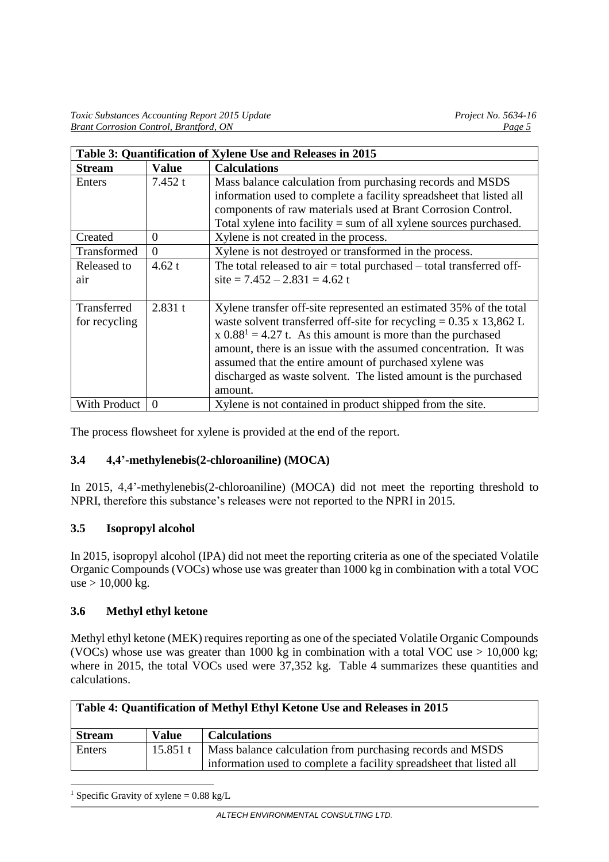| Table 3: Quantification of Xylene Use and Releases in 2015 |              |                                                                                |  |  |  |
|------------------------------------------------------------|--------------|--------------------------------------------------------------------------------|--|--|--|
| <b>Stream</b>                                              | <b>Value</b> | <b>Calculations</b>                                                            |  |  |  |
| Enters                                                     | 7.452t       | Mass balance calculation from purchasing records and MSDS                      |  |  |  |
|                                                            |              | information used to complete a facility spreadsheet that listed all            |  |  |  |
|                                                            |              | components of raw materials used at Brant Corrosion Control.                   |  |  |  |
|                                                            |              | Total xylene into facility $=$ sum of all xylene sources purchased.            |  |  |  |
| Created                                                    | $\Omega$     | Xylene is not created in the process.                                          |  |  |  |
| Transformed                                                | $\theta$     | Xylene is not destroyed or transformed in the process.                         |  |  |  |
| Released to                                                | 4.62 $t$     | The total released to $air = total$ purchased $- total$ total transferred off- |  |  |  |
| air                                                        |              | site = $7.452 - 2.831 = 4.62$ t                                                |  |  |  |
|                                                            |              |                                                                                |  |  |  |
| Transferred                                                | 2.831 t      | Xylene transfer off-site represented an estimated 35% of the total             |  |  |  |
| for recycling                                              |              | waste solvent transferred off-site for recycling = $0.35 \times 13,862$ L      |  |  |  |
|                                                            |              | $x \cdot 0.88^1 = 4.27$ t. As this amount is more than the purchased           |  |  |  |
|                                                            |              | amount, there is an issue with the assumed concentration. It was               |  |  |  |
|                                                            |              | assumed that the entire amount of purchased xylene was                         |  |  |  |
|                                                            |              | discharged as waste solvent. The listed amount is the purchased                |  |  |  |
|                                                            |              | amount.                                                                        |  |  |  |
| With Product                                               | $\Omega$     | Xylene is not contained in product shipped from the site.                      |  |  |  |

The process flowsheet for xylene is provided at the end of the report.

#### **3.4 4,4'-methylenebis(2-chloroaniline) (MOCA)**

In 2015, 4,4'-methylenebis(2-chloroaniline) (MOCA) did not meet the reporting threshold to NPRI, therefore this substance's releases were not reported to the NPRI in 2015.

#### **3.5 Isopropyl alcohol**

In 2015, isopropyl alcohol (IPA) did not meet the reporting criteria as one of the speciated Volatile Organic Compounds (VOCs) whose use was greater than 1000 kg in combination with a total VOC  $use > 10,000 kg$ .

#### **3.6 Methyl ethyl ketone**

Methyl ethyl ketone (MEK) requires reporting as one of the speciated Volatile Organic Compounds (VOCs) whose use was greater than 1000 kg in combination with a total VOC use  $> 10,000$  kg; where in 2015, the total VOCs used were 37,352 kg. Table 4 summarizes these quantities and calculations.

| Table 4: Quantification of Methyl Ethyl Ketone Use and Releases in 2015 |              |                                                                                                                                  |  |  |  |  |
|-------------------------------------------------------------------------|--------------|----------------------------------------------------------------------------------------------------------------------------------|--|--|--|--|
| <b>Stream</b>                                                           | <b>Value</b> | <b>Calculations</b>                                                                                                              |  |  |  |  |
| Enters                                                                  | 15.851t      | Mass balance calculation from purchasing records and MSDS<br>information used to complete a facility spreadsheet that listed all |  |  |  |  |

<sup>1</sup> Specific Gravity of xylene =  $0.88 \text{ kg/L}$ 

-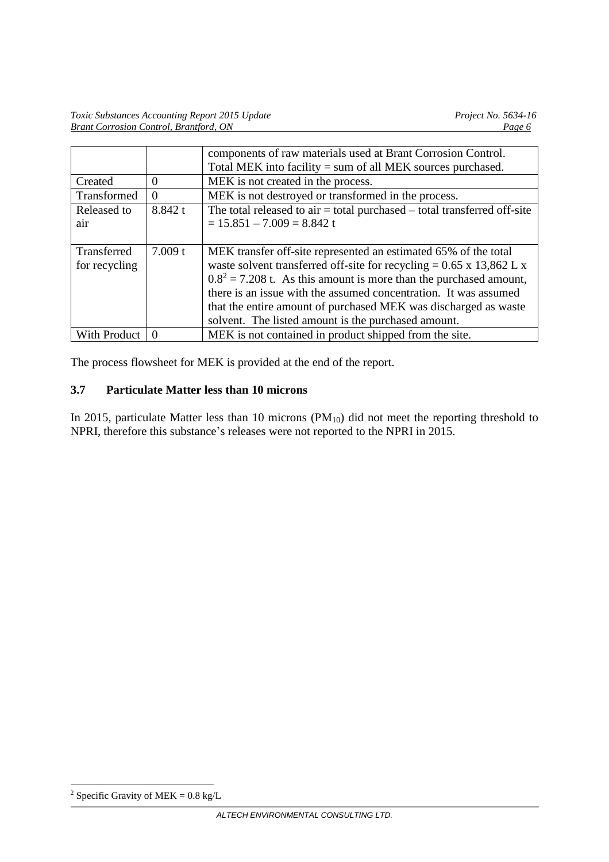|               |          | components of raw materials used at Brant Corrosion Control.                 |
|---------------|----------|------------------------------------------------------------------------------|
|               |          | Total MEK into facility $=$ sum of all MEK sources purchased.                |
| Created       | $\theta$ | MEK is not created in the process.                                           |
| Transformed   | $\Omega$ | MEK is not destroyed or transformed in the process.                          |
| Released to   | 8.842 t  | The total released to air $=$ total purchased $-$ total transferred off-site |
| air           |          | $= 15.851 - 7.009 = 8.842$ t                                                 |
|               |          |                                                                              |
| Transferred   | 7.009 t  | MEK transfer off-site represented an estimated 65% of the total              |
| for recycling |          | waste solvent transferred off-site for recycling = $0.65 \times 13,862$ L x  |
|               |          | $0.82 = 7.208$ t. As this amount is more than the purchased amount,          |
|               |          | there is an issue with the assumed concentration. It was assumed             |
|               |          | that the entire amount of purchased MEK was discharged as waste              |
|               |          | solvent. The listed amount is the purchased amount.                          |
| With Product  | $\Omega$ | MEK is not contained in product shipped from the site.                       |

The process flowsheet for MEK is provided at the end of the report.

# **3.7 Particulate Matter less than 10 microns**

In 2015, particulate Matter less than 10 microns (PM<sub>10</sub>) did not meet the reporting threshold to NPRI, therefore this substance's releases were not reported to the NPRI in 2015.

-

<sup>&</sup>lt;sup>2</sup> Specific Gravity of MEK =  $0.8 \text{ kg/L}$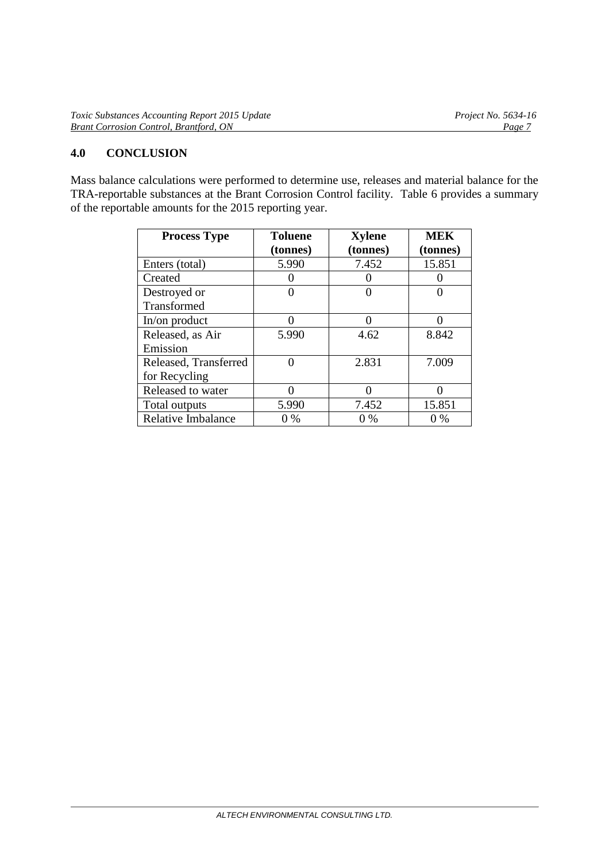| <b>Toxic Substances Accounting Report 2015 Update</b> | <i>Project No.</i> 5634-16 |
|-------------------------------------------------------|----------------------------|
| <b>Brant Corrosion Control, Brantford, ON</b>         | Page:                      |

#### **4.0 CONCLUSION**

Mass balance calculations were performed to determine use, releases and material balance for the TRA-reportable substances at the Brant Corrosion Control facility. Table 6 provides a summary of the reportable amounts for the 2015 reporting year.

| <b>Process Type</b>   | <b>Toluene</b> | <b>Xylene</b> | <b>MEK</b> |  |  |
|-----------------------|----------------|---------------|------------|--|--|
|                       | (tonnes)       | (tonnes)      | (tonnes)   |  |  |
| Enters (total)        | 5.990          | 7.452         | 15.851     |  |  |
| Created               |                |               |            |  |  |
| Destroyed or          | 0              |               |            |  |  |
| Transformed           |                |               |            |  |  |
| In/on product         | $\Omega$       | $\Omega$      | 0          |  |  |
| Released, as Air      | 5.990          | 4.62          | 8.842      |  |  |
| Emission              |                |               |            |  |  |
| Released, Transferred |                | 2.831         | 7.009      |  |  |
| for Recycling         |                |               |            |  |  |
| Released to water     |                |               |            |  |  |
| Total outputs         | 5.990          | 7.452         | 15.851     |  |  |
| Relative Imbalance    | 0 %            | $0\%$         | $0\%$      |  |  |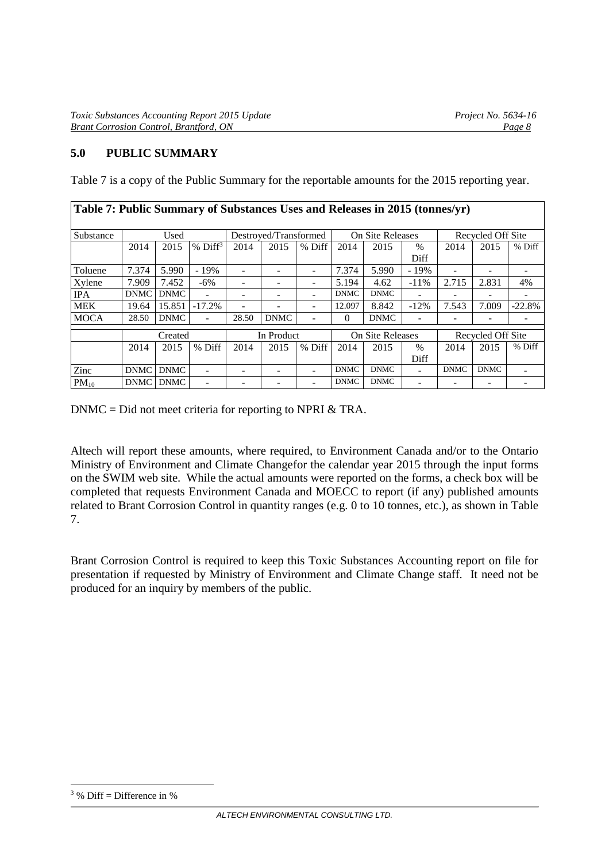## **5.0 PUBLIC SUMMARY**

Table 7 is a copy of the Public Summary for the reportable amounts for the 2015 reporting year.

| Table 7: Public Summary of Substances Uses and Releases in 2015 (tonnes/yr) |             |             |                       |                       |             |                          |             |                  |                   |             |                   |          |
|-----------------------------------------------------------------------------|-------------|-------------|-----------------------|-----------------------|-------------|--------------------------|-------------|------------------|-------------------|-------------|-------------------|----------|
| Substance                                                                   | Used        |             |                       | Destroyed/Transformed |             | On Site Releases         |             |                  | Recycled Off Site |             |                   |          |
|                                                                             | 2014        | 2015        | $%$ Diff <sup>3</sup> | 2014                  | 2015        | % Diff                   | 2014        | 2015             | $\%$              | 2014        | 2015              | % Diff   |
|                                                                             |             |             |                       |                       |             |                          |             |                  | Diff              |             |                   |          |
| Toluene                                                                     | 7.374       | 5.990       | $-19%$                |                       |             | $\overline{\phantom{0}}$ | 7.374       | 5.990            | $-19%$            |             |                   |          |
| Xylene                                                                      | 7.909       | 7.452       | $-6\%$                |                       |             | $\overline{\phantom{0}}$ | 5.194       | 4.62             | $-11\%$           | 2.715       | 2.831             | 4%       |
| <b>IPA</b>                                                                  | <b>DNMC</b> | <b>DNMC</b> |                       |                       |             | ۰                        | <b>DNMC</b> | <b>DNMC</b>      |                   |             |                   |          |
| MEK                                                                         | 19.64       | 15.851      | $-17.2%$              |                       |             |                          | 12.097      | 8.842            | $-12%$            | 7.543       | 7.009             | $-22.8%$ |
| <b>MOCA</b>                                                                 | 28.50       | <b>DNMC</b> |                       | 28.50                 | <b>DNMC</b> |                          | $\Omega$    | <b>DNMC</b>      |                   |             |                   |          |
|                                                                             | Created     |             |                       |                       | In Product  |                          |             | On Site Releases |                   |             | Recycled Off Site |          |
|                                                                             | 2014        | 2015        | % Diff                | 2014                  | 2015        | % Diff                   | 2014        | 2015             | $\%$              | 2014        | 2015              | % Diff   |
|                                                                             |             |             |                       |                       |             |                          |             |                  | Diff              |             |                   |          |
| Zinc                                                                        | DNMC        | <b>DNMC</b> |                       |                       |             | ۰                        | <b>DNMC</b> | <b>DNMC</b>      |                   | <b>DNMC</b> | <b>DNMC</b>       |          |
| $PM_{10}$                                                                   |             | DNMC DNMC   |                       |                       |             |                          | <b>DNMC</b> | <b>DNMC</b>      |                   |             |                   |          |

DNMC = Did not meet criteria for reporting to NPRI & TRA.

Altech will report these amounts, where required, to Environment Canada and/or to the Ontario Ministry of Environment and Climate Changefor the calendar year 2015 through the input forms on the SWIM web site. While the actual amounts were reported on the forms, a check box will be completed that requests Environment Canada and MOECC to report (if any) published amounts related to Brant Corrosion Control in quantity ranges (e.g. 0 to 10 tonnes, etc.), as shown in Table 7.

Brant Corrosion Control is required to keep this Toxic Substances Accounting report on file for presentation if requested by Ministry of Environment and Climate Change staff. It need not be produced for an inquiry by members of the public.

-

 $3\%$  Diff = Difference in %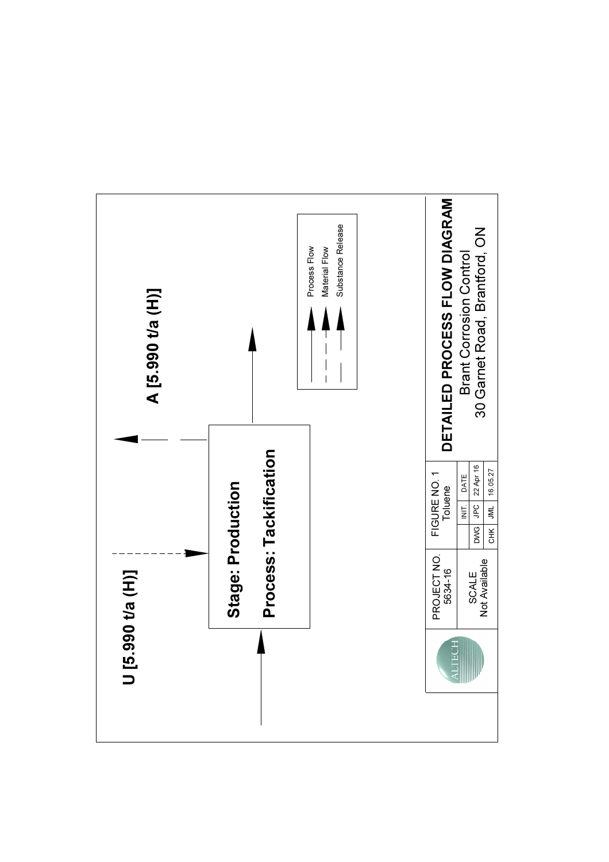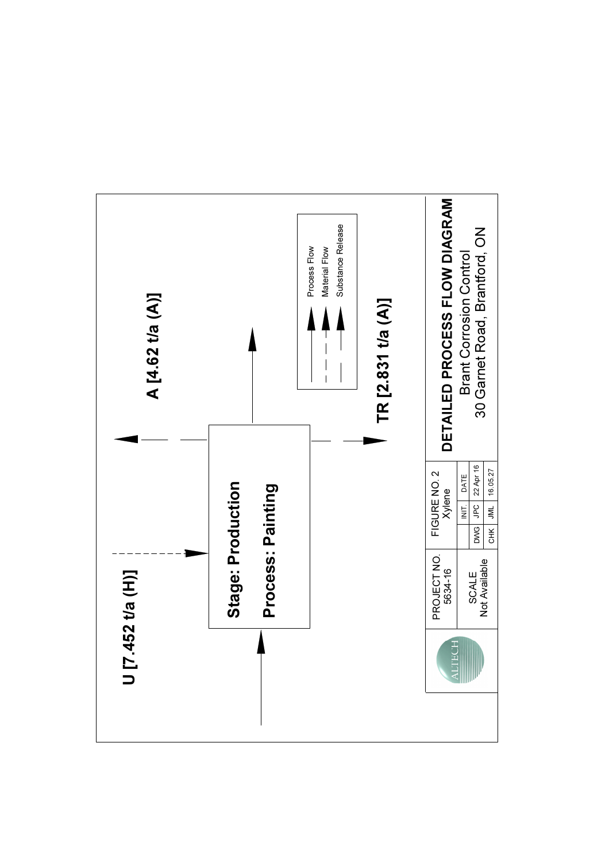